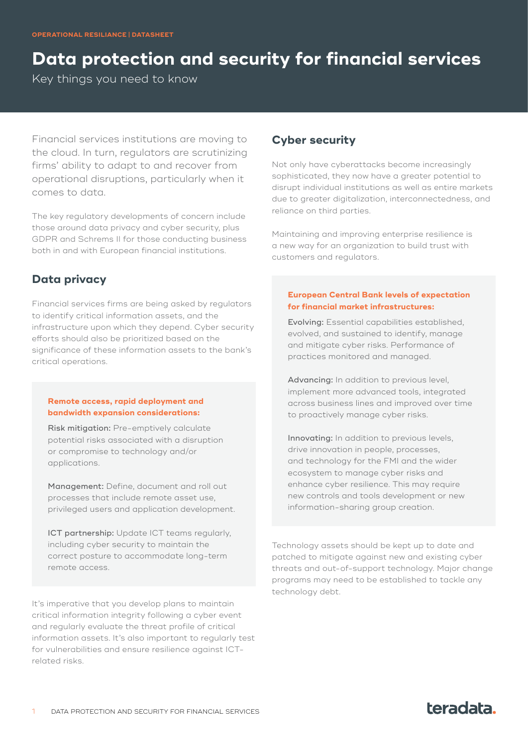# **Data protection and security for financial services**

Key things you need to know

Financial services institutions are moving to the cloud. In turn, regulators are scrutinizing firms' ability to adapt to and recover from operational disruptions, particularly when it comes to data.

The key regulatory developments of concern include those around data privacy and cyber security, plus GDPR and Schrems II for those conducting business both in and with European financial institutions.

## **Data privacy**

Financial services firms are being asked by regulators to identify critical information assets, and the infrastructure upon which they depend. Cyber security efforts should also be prioritized based on the significance of these information assets to the bank's critical operations.

#### **Remote access, rapid deployment and bandwidth expansion considerations:**

Risk mitigation: Pre-emptively calculate potential risks associated with a disruption or compromise to technology and/or applications.

Management: Define, document and roll out processes that include remote asset use, privileged users and application development.

ICT partnership: Update ICT teams regularly, including cyber security to maintain the correct posture to accommodate long-term remote access.

It's imperative that you develop plans to maintain critical information integrity following a cyber event and regularly evaluate the threat profile of critical information assets. It's also important to regularly test for vulnerabilities and ensure resilience against ICTrelated risks.

## **Cyber security**

Not only have cyberattacks become increasingly sophisticated, they now have a greater potential to disrupt individual institutions as well as entire markets due to greater digitalization, interconnectedness, and reliance on third parties.

Maintaining and improving enterprise resilience is a new way for an organization to build trust with customers and regulators.

#### **European Central Bank levels of expectation for financial market infrastructures:**

Evolving: Essential capabilities established, evolved, and sustained to identify, manage and mitigate cyber risks. Performance of practices monitored and managed.

Advancing: In addition to previous level, implement more advanced tools, integrated across business lines and improved over time to proactively manage cyber risks.

Innovating: In addition to previous levels, drive innovation in people, processes, and technology for the FMI and the wider ecosystem to manage cyber risks and enhance cyber resilience. This may require new controls and tools development or new information-sharing group creation.

Technology assets should be kept up to date and patched to mitigate against new and existing cyber threats and out-of-support technology. Major change programs may need to be established to tackle any technology debt.

## teradata.